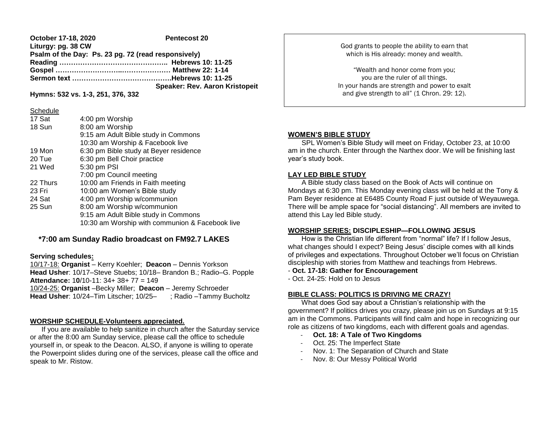| October 17-18, 2020                                 | <b>Pentecost 20</b>            |
|-----------------------------------------------------|--------------------------------|
| Liturgy: pg. 38 CW                                  |                                |
| Psalm of the Day: Ps. 23 pg. 72 (read responsively) |                                |
|                                                     |                                |
|                                                     |                                |
|                                                     |                                |
|                                                     | Speaker: Rev. Aaron Kristopeit |

**Hymns: 532 vs. 1-3, 251, 376, 332**

#### **Schedule**

| 4:00 pm Worship                                 |
|-------------------------------------------------|
| 8:00 am Worship                                 |
| 9:15 am Adult Bible study in Commons            |
| 10:30 am Worship & Facebook live                |
| 6:30 pm Bible study at Beyer residence          |
| 6:30 pm Bell Choir practice                     |
| 5:30 pm PSI                                     |
| 7:00 pm Council meeting                         |
| 10:00 am Friends in Faith meeting               |
| 10:00 am Women's Bible study                    |
| 4:00 pm Worship w/communion                     |
| 8:00 am Worship w/communion                     |
| 9:15 am Adult Bible study in Commons            |
| 10:30 am Worship with communion & Facebook live |
|                                                 |

# **\*7:00 am Sunday Radio broadcast on FM92.7 LAKES**

### **Serving schedules:**

10/17-18: **Organist** – Kerry Koehler; **Deacon** – Dennis Yorkson **Head Usher**: 10/17–Steve Stuebs; 10/18– Brandon B.; Radio–G. Popple **Attendance:** 1**0**/10-11: 34+ 38+ 77 = 149 10/24-25: **Organist** –Becky Miller; **Deacon** – Jeremy Schroeder **Head Usher**: 10/24–Tim Litscher; 10/25– ; Radio –Tammy Bucholtz

### **WORSHIP SCHEDULE-Volunteers appreciated.**

 If you are available to help sanitize in church after the Saturday service or after the 8:00 am Sunday service, please call the office to schedule yourself in, or speak to the Deacon. ALSO, if anyone is willing to operate the Powerpoint slides during one of the services, please call the office and speak to Mr. Ristow.

God grants to people the ability to earn that which is His already: money and wealth.

"Wealth and honor come from you; you are the ruler of all things. In your hands are strength and power to exalt and give strength to all" (1 Chron. 29: 12).

## **WOMEN'S BIBLE STUDY**

SPL Women's Bible Study will meet on Friday, October 23, at 10:00 am in the church. Enter through the Narthex door. We will be finishing last year's study book.

### **LAY LED BIBLE STUDY**

 A Bible study class based on the Book of Acts will continue on Mondays at 6:30 pm. This Monday evening class will be held at the Tony & Pam Beyer residence at E6485 County Road F just outside of Weyauwega. There will be ample space for "social distancing". All members are invited to attend this Lay led Bible study.

### **WORSHIP SERIES: DISCIPLESHIP—FOLLOWING JESUS**

 How is the Christian life different from "normal" life? If I follow Jesus, what changes should I expect? Being Jesus' disciple comes with all kinds of privileges and expectations. Throughout October we'll focus on Christian discipleship with stories from Matthew and teachings from Hebrews.

#### - **Oct. 17-18: Gather for Encouragement**

- Oct. 24-25: Hold on to Jesus

### **BIBLE CLASS: POLITICS IS DRIVING ME CRAZY!**

 What does God say about a Christian's relationship with the government? If politics drives you crazy, please join us on Sundays at 9:15 am in the Commons. Participants will find calm and hope in recognizing our role as citizens of two kingdoms, each with different goals and agendas.

- **Oct. 18: A Tale of Two Kingdoms**
- Oct. 25: The Imperfect State
- Nov. 1: The Separation of Church and State
- Nov. 8: Our Messy Political World